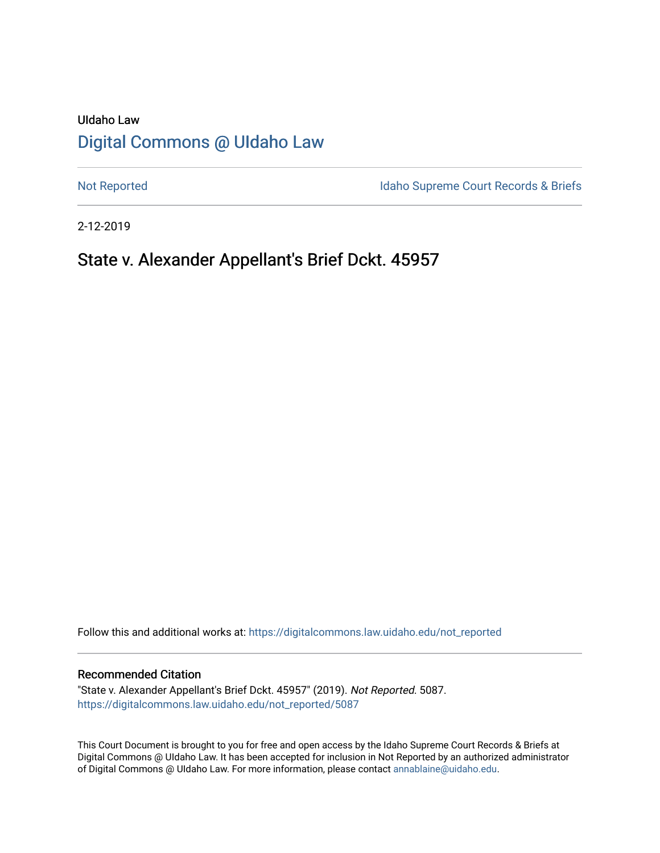# UIdaho Law [Digital Commons @ UIdaho Law](https://digitalcommons.law.uidaho.edu/)

[Not Reported](https://digitalcommons.law.uidaho.edu/not_reported) **Idaho Supreme Court Records & Briefs** 

2-12-2019

# State v. Alexander Appellant's Brief Dckt. 45957

Follow this and additional works at: [https://digitalcommons.law.uidaho.edu/not\\_reported](https://digitalcommons.law.uidaho.edu/not_reported?utm_source=digitalcommons.law.uidaho.edu%2Fnot_reported%2F5087&utm_medium=PDF&utm_campaign=PDFCoverPages) 

#### Recommended Citation

"State v. Alexander Appellant's Brief Dckt. 45957" (2019). Not Reported. 5087. [https://digitalcommons.law.uidaho.edu/not\\_reported/5087](https://digitalcommons.law.uidaho.edu/not_reported/5087?utm_source=digitalcommons.law.uidaho.edu%2Fnot_reported%2F5087&utm_medium=PDF&utm_campaign=PDFCoverPages)

This Court Document is brought to you for free and open access by the Idaho Supreme Court Records & Briefs at Digital Commons @ UIdaho Law. It has been accepted for inclusion in Not Reported by an authorized administrator of Digital Commons @ UIdaho Law. For more information, please contact [annablaine@uidaho.edu](mailto:annablaine@uidaho.edu).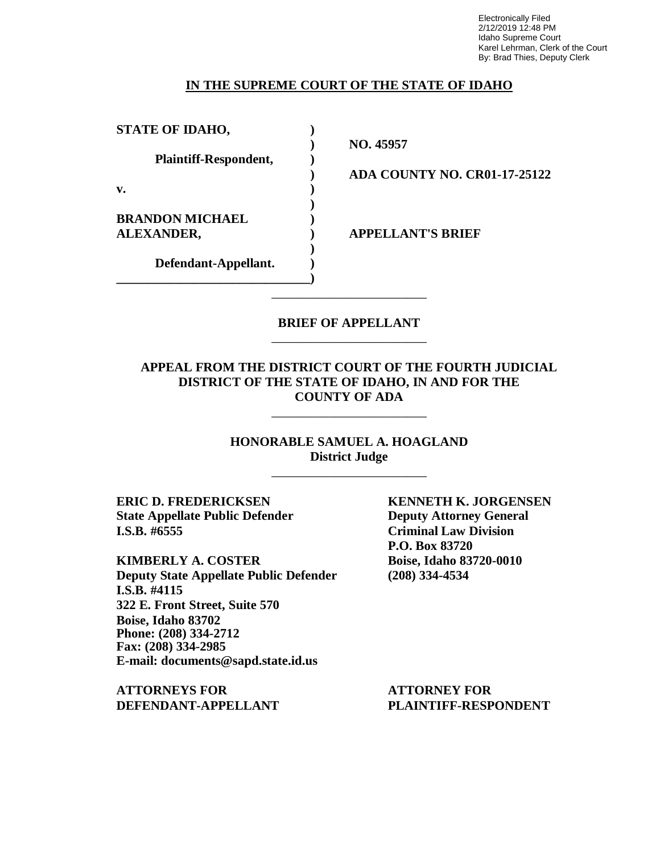Electronically Filed 2/12/2019 12:48 PM Idaho Supreme Court Karel Lehrman, Clerk of the Court By: Brad Thies, Deputy Clerk

## **IN THE SUPREME COURT OF THE STATE OF IDAHO**

| <b>STATE OF IDAHO,</b>                      |  |
|---------------------------------------------|--|
| Plaintiff-Respondent,                       |  |
| v.                                          |  |
| <b>BRANDON MICHAEL</b><br><b>ALEXANDER,</b> |  |
| Defendant-Appellant.                        |  |

**) NO. 45957**

**) ADA COUNTY NO. CR01-17-25122**

**ALEXANDER, ) APPELLANT'S BRIEF**

### **BRIEF OF APPELLANT** \_\_\_\_\_\_\_\_\_\_\_\_\_\_\_\_\_\_\_\_\_\_\_\_

\_\_\_\_\_\_\_\_\_\_\_\_\_\_\_\_\_\_\_\_\_\_\_\_

## **APPEAL FROM THE DISTRICT COURT OF THE FOURTH JUDICIAL DISTRICT OF THE STATE OF IDAHO, IN AND FOR THE COUNTY OF ADA**

\_\_\_\_\_\_\_\_\_\_\_\_\_\_\_\_\_\_\_\_\_\_\_\_

**HONORABLE SAMUEL A. HOAGLAND District Judge** \_\_\_\_\_\_\_\_\_\_\_\_\_\_\_\_\_\_\_\_\_\_\_\_

**ERIC D. FREDERICKSEN KENNETH K. JORGENSEN State Appellate Public Defender Deputy Attorney General I.S.B. #6555 Criminal Law Division**

**KIMBERLY A. COSTER Boise, Idaho 83720-0010 Deputy State Appellate Public Defender (208) 334-4534 I.S.B. #4115 322 E. Front Street, Suite 570 Boise, Idaho 83702 Phone: (208) 334-2712 Fax: (208) 334-2985 E-mail: documents@sapd.state.id.us**

**ATTORNEYS FOR ATTORNEY FOR**

**P.O. Box 83720**

**DEFENDANT-APPELLANT PLAINTIFF-RESPONDENT**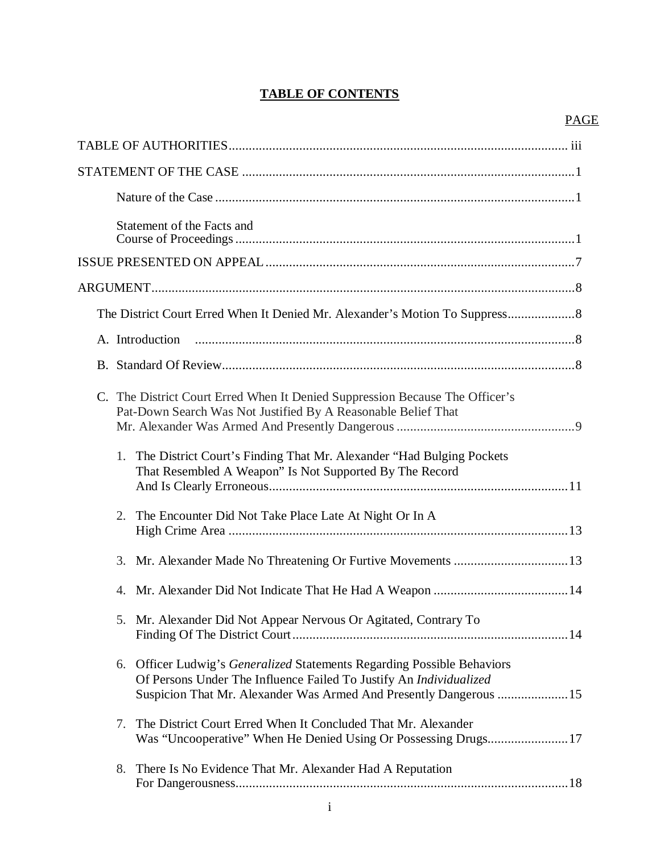# **TABLE OF CONTENTS**

| Statement of the Facts and                                                                                                                                                                                                   |
|------------------------------------------------------------------------------------------------------------------------------------------------------------------------------------------------------------------------------|
|                                                                                                                                                                                                                              |
|                                                                                                                                                                                                                              |
|                                                                                                                                                                                                                              |
| A. Introduction                                                                                                                                                                                                              |
|                                                                                                                                                                                                                              |
| C. The District Court Erred When It Denied Suppression Because The Officer's<br>Pat-Down Search Was Not Justified By A Reasonable Belief That                                                                                |
| The District Court's Finding That Mr. Alexander "Had Bulging Pockets"<br>1.<br>That Resembled A Weapon" Is Not Supported By The Record                                                                                       |
| 2.<br>The Encounter Did Not Take Place Late At Night Or In A                                                                                                                                                                 |
|                                                                                                                                                                                                                              |
|                                                                                                                                                                                                                              |
| 5. Mr. Alexander Did Not Appear Nervous Or Agitated, Contrary To                                                                                                                                                             |
| Officer Ludwig's <i>Generalized</i> Statements Regarding Possible Behaviors<br>6.<br>Of Persons Under The Influence Failed To Justify An Individualized<br>Suspicion That Mr. Alexander Was Armed And Presently Dangerous 15 |
| The District Court Erred When It Concluded That Mr. Alexander<br>7.<br>Was "Uncooperative" When He Denied Using Or Possessing Drugs17                                                                                        |
| 8.<br>There Is No Evidence That Mr. Alexander Had A Reputation                                                                                                                                                               |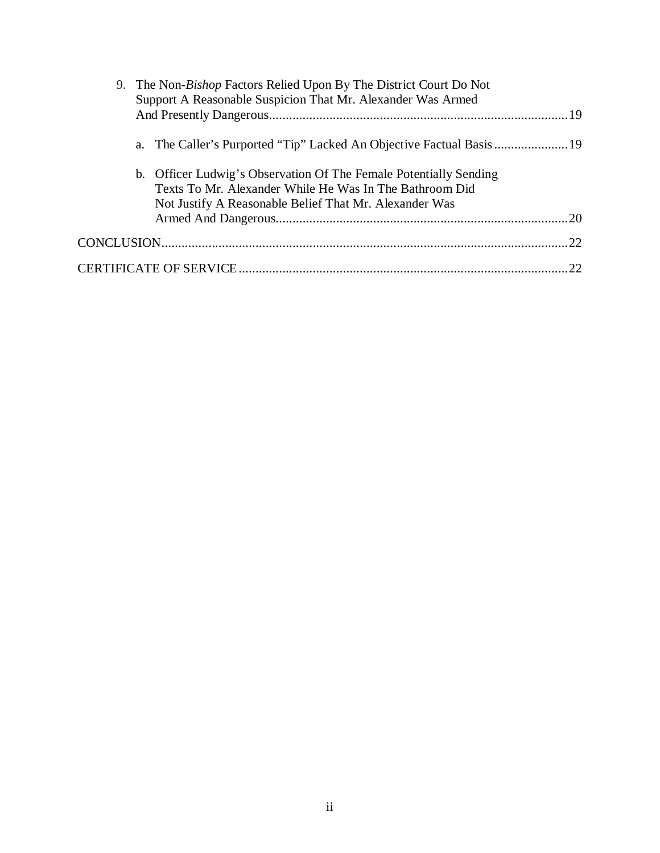| 9. The Non-Bishop Factors Relied Upon By The District Court Do Not<br>Support A Reasonable Suspicion That Mr. Alexander Was Armed |                                                                                                                                                                                        |     |
|-----------------------------------------------------------------------------------------------------------------------------------|----------------------------------------------------------------------------------------------------------------------------------------------------------------------------------------|-----|
|                                                                                                                                   | a. The Caller's Purported "Tip" Lacked An Objective Factual Basis                                                                                                                      |     |
|                                                                                                                                   | b. Officer Ludwig's Observation Of The Female Potentially Sending<br>Texts To Mr. Alexander While He Was In The Bathroom Did<br>Not Justify A Reasonable Belief That Mr. Alexander Was |     |
|                                                                                                                                   |                                                                                                                                                                                        | .20 |
|                                                                                                                                   |                                                                                                                                                                                        | 22  |
|                                                                                                                                   |                                                                                                                                                                                        | 22  |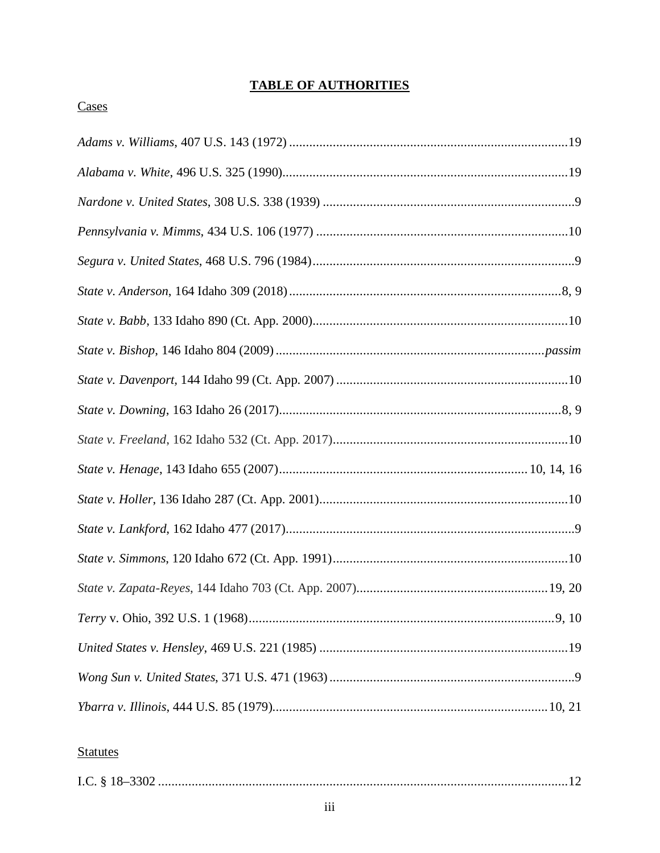# **TABLE OF AUTHORITIES**

# Cases

# **Statutes**

|--|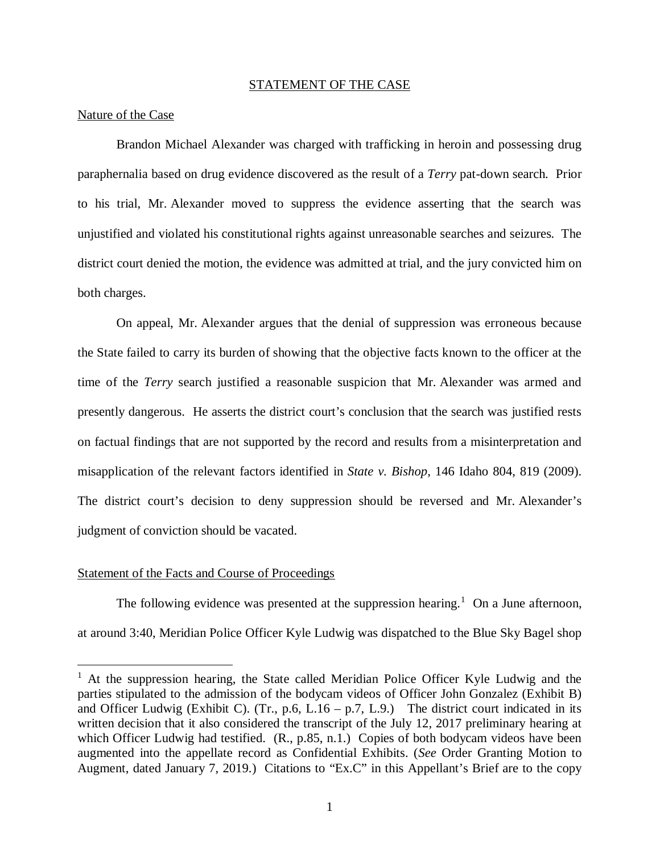#### STATEMENT OF THE CASE

#### Nature of the Case

Brandon Michael Alexander was charged with trafficking in heroin and possessing drug paraphernalia based on drug evidence discovered as the result of a *Terry* pat-down search. Prior to his trial, Mr. Alexander moved to suppress the evidence asserting that the search was unjustified and violated his constitutional rights against unreasonable searches and seizures. The district court denied the motion, the evidence was admitted at trial, and the jury convicted him on both charges.

On appeal, Mr. Alexander argues that the denial of suppression was erroneous because the State failed to carry its burden of showing that the objective facts known to the officer at the time of the *Terry* search justified a reasonable suspicion that Mr. Alexander was armed and presently dangerous. He asserts the district court's conclusion that the search was justified rests on factual findings that are not supported by the record and results from a misinterpretation and misapplication of the relevant factors identified in *State v. Bishop*, 146 Idaho 804, 819 (2009). The district court's decision to deny suppression should be reversed and Mr. Alexander's judgment of conviction should be vacated.

#### Statement of the Facts and Course of Proceedings

The following evidence was presented at the suppression hearing.<sup>[1](#page-5-0)</sup> On a June afternoon, at around 3:40, Meridian Police Officer Kyle Ludwig was dispatched to the Blue Sky Bagel shop

<span id="page-5-0"></span><sup>&</sup>lt;sup>1</sup> At the suppression hearing, the State called Meridian Police Officer Kyle Ludwig and the parties stipulated to the admission of the bodycam videos of Officer John Gonzalez (Exhibit B) and Officer Ludwig (Exhibit C). (Tr., p.6, L.16 – p.7, L.9.) The district court indicated in its written decision that it also considered the transcript of the July 12, 2017 preliminary hearing at which Officer Ludwig had testified. (R., p.85, n.1.) Copies of both bodycam videos have been augmented into the appellate record as Confidential Exhibits. (*See* Order Granting Motion to Augment, dated January 7, 2019.) Citations to "Ex.C" in this Appellant's Brief are to the copy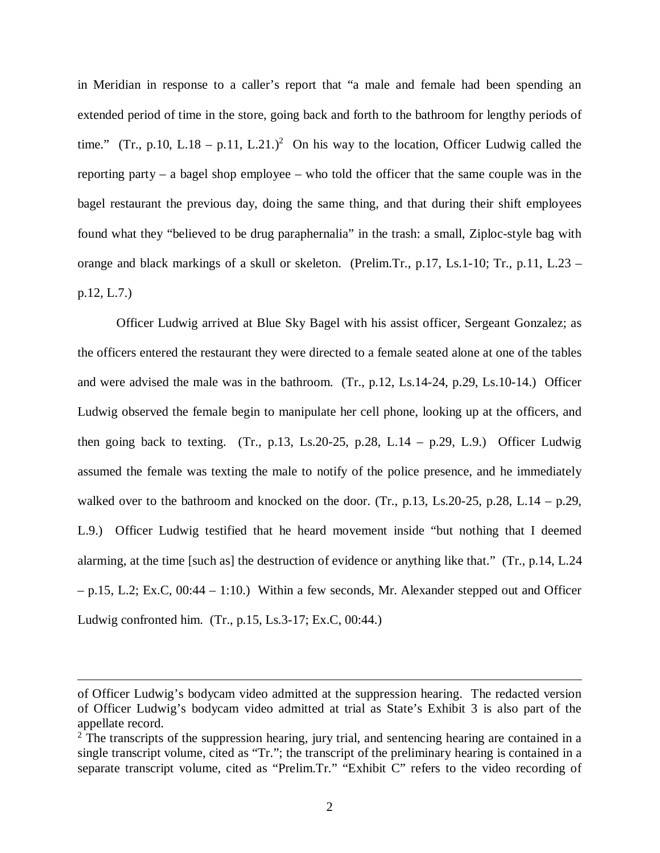in Meridian in response to a caller's report that "a male and female had been spending an extended period of time in the store, going back and forth to the bathroom for lengthy periods of time." (Tr., p.10, L.18 – p.11, L.[2](#page-6-0)1.)<sup>2</sup> On his way to the location, Officer Ludwig called the reporting party – a bagel shop employee – who told the officer that the same couple was in the bagel restaurant the previous day, doing the same thing, and that during their shift employees found what they "believed to be drug paraphernalia" in the trash: a small, Ziploc-style bag with orange and black markings of a skull or skeleton. (Prelim.Tr., p.17, Ls.1-10; Tr., p.11, L.23 – p.12, L.7.)

Officer Ludwig arrived at Blue Sky Bagel with his assist officer, Sergeant Gonzalez; as the officers entered the restaurant they were directed to a female seated alone at one of the tables and were advised the male was in the bathroom. (Tr., p.12, Ls.14-24, p.29, Ls.10-14.) Officer Ludwig observed the female begin to manipulate her cell phone, looking up at the officers, and then going back to texting. (Tr., p.13, Ls.20-25, p.28, L.14 – p.29, L.9.) Officer Ludwig assumed the female was texting the male to notify of the police presence, and he immediately walked over to the bathroom and knocked on the door. (Tr., p.13, Ls.20-25, p.28, L.14 – p.29, L.9.) Officer Ludwig testified that he heard movement inside "but nothing that I deemed alarming, at the time [such as] the destruction of evidence or anything like that." (Tr., p.14, L.24 – p.15, L.2; Ex.C, 00:44 – 1:10.) Within a few seconds, Mr. Alexander stepped out and Officer Ludwig confronted him. (Tr., p.15, Ls.3-17; Ex.C, 00:44.)

of Officer Ludwig's bodycam video admitted at the suppression hearing. The redacted version of Officer Ludwig's bodycam video admitted at trial as State's Exhibit 3 is also part of the appellate record.

<span id="page-6-0"></span> $2$  The transcripts of the suppression hearing, jury trial, and sentencing hearing are contained in a single transcript volume, cited as "Tr."; the transcript of the preliminary hearing is contained in a separate transcript volume, cited as "Prelim.Tr." "Exhibit C" refers to the video recording of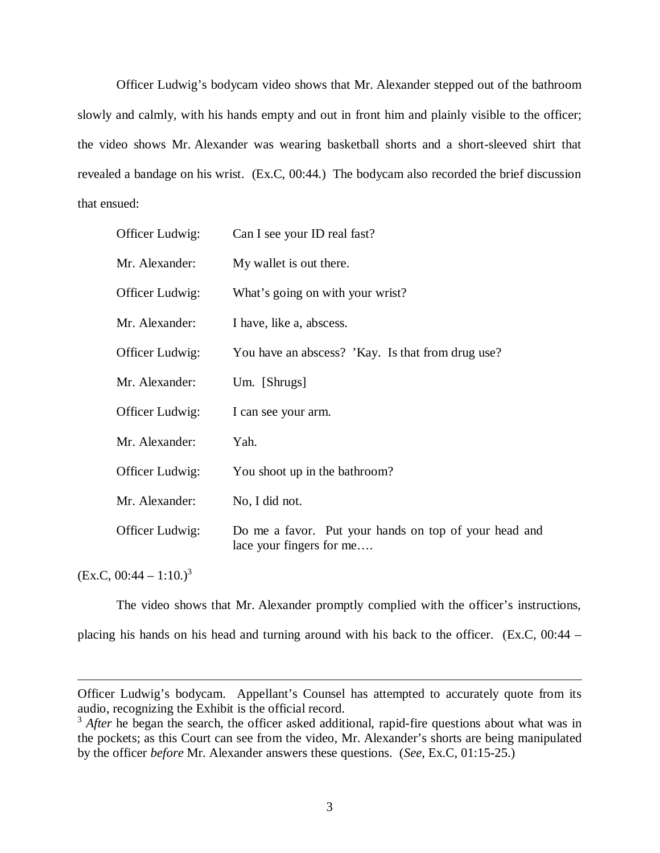Officer Ludwig's bodycam video shows that Mr. Alexander stepped out of the bathroom slowly and calmly, with his hands empty and out in front him and plainly visible to the officer; the video shows Mr. Alexander was wearing basketball shorts and a short-sleeved shirt that revealed a bandage on his wrist. (Ex.C, 00:44.) The bodycam also recorded the brief discussion that ensued:

| Officer Ludwig: | Can I see your ID real fast?                                                      |
|-----------------|-----------------------------------------------------------------------------------|
| Mr. Alexander:  | My wallet is out there.                                                           |
| Officer Ludwig: | What's going on with your wrist?                                                  |
| Mr. Alexander:  | I have, like a, abscess.                                                          |
| Officer Ludwig: | You have an abscess? 'Kay. Is that from drug use?                                 |
| Mr. Alexander:  | Um. [Shrugs]                                                                      |
| Officer Ludwig: | I can see your arm.                                                               |
| Mr. Alexander:  | Yah.                                                                              |
| Officer Ludwig: | You shoot up in the bathroom?                                                     |
| Mr. Alexander:  | No, I did not.                                                                    |
| Officer Ludwig: | Do me a favor. Put your hands on top of your head and<br>lace your fingers for me |

 $(EX.C., 00:44 - 1:10.)<sup>3</sup>$  $(EX.C., 00:44 - 1:10.)<sup>3</sup>$  $(EX.C., 00:44 - 1:10.)<sup>3</sup>$ 

The video shows that Mr. Alexander promptly complied with the officer's instructions,

placing his hands on his head and turning around with his back to the officer. (Ex.C, 00:44 –

Officer Ludwig's bodycam. Appellant's Counsel has attempted to accurately quote from its audio, recognizing the Exhibit is the official record.

<span id="page-7-0"></span><sup>&</sup>lt;sup>3</sup> *After* he began the search, the officer asked additional, rapid-fire questions about what was in the pockets; as this Court can see from the video, Mr. Alexander's shorts are being manipulated by the officer *before* Mr. Alexander answers these questions. (*See*, Ex.C, 01:15-25.)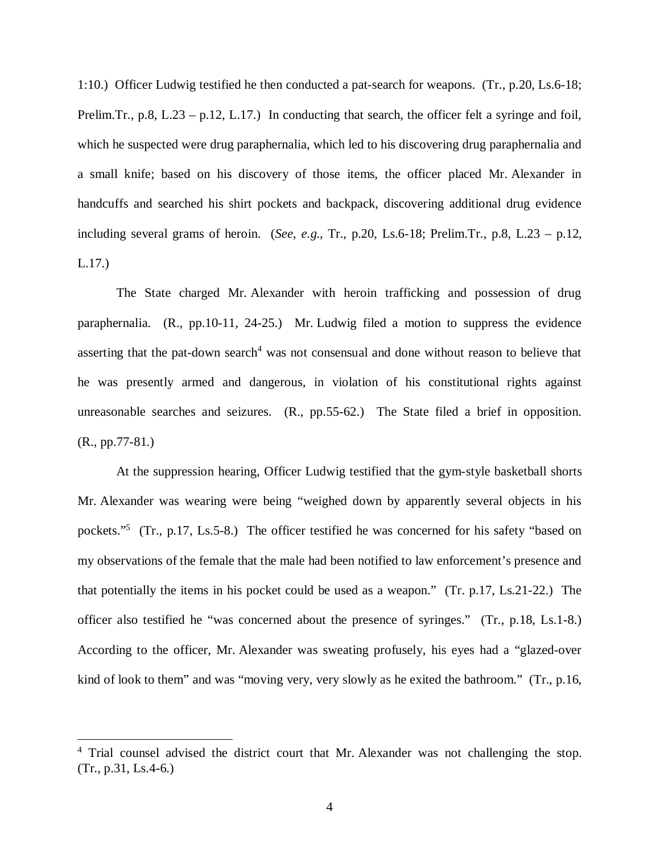1:10.) Officer Ludwig testified he then conducted a pat-search for weapons. (Tr., p.20, Ls.6-18; Prelim.Tr., p.8, L.23 – p.12, L.17.) In conducting that search, the officer felt a syringe and foil, which he suspected were drug paraphernalia, which led to his discovering drug paraphernalia and a small knife; based on his discovery of those items, the officer placed Mr. Alexander in handcuffs and searched his shirt pockets and backpack, discovering additional drug evidence including several grams of heroin. (*See*, *e.g*., Tr., p.20, Ls.6-18; Prelim.Tr., p.8, L.23 – p.12, L.17.)

The State charged Mr. Alexander with heroin trafficking and possession of drug paraphernalia. (R., pp.10-11, 24-25.) Mr. Ludwig filed a motion to suppress the evidence asserting that the pat-down search<sup>[4](#page-8-0)</sup> was not consensual and done without reason to believe that he was presently armed and dangerous, in violation of his constitutional rights against unreasonable searches and seizures. (R., pp.55-62.) The State filed a brief in opposition. (R., pp.77-81.)

At the suppression hearing, Officer Ludwig testified that the gym-style basketball shorts Mr. Alexander was wearing were being "weighed down by apparently several objects in his pockets."<sup>[5](#page-8-1)</sup> (Tr., p.17, Ls.5-8.) The officer testified he was concerned for his safety "based on my observations of the female that the male had been notified to law enforcement's presence and that potentially the items in his pocket could be used as a weapon." (Tr. p.17, Ls.21-22.) The officer also testified he "was concerned about the presence of syringes." (Tr., p.18, Ls.1-8.) According to the officer, Mr. Alexander was sweating profusely, his eyes had a "glazed-over kind of look to them" and was "moving very, very slowly as he exited the bathroom." (Tr., p.16,

<span id="page-8-1"></span><span id="page-8-0"></span><sup>&</sup>lt;sup>4</sup> Trial counsel advised the district court that Mr. Alexander was not challenging the stop. (Tr., p.31, Ls.4-6.)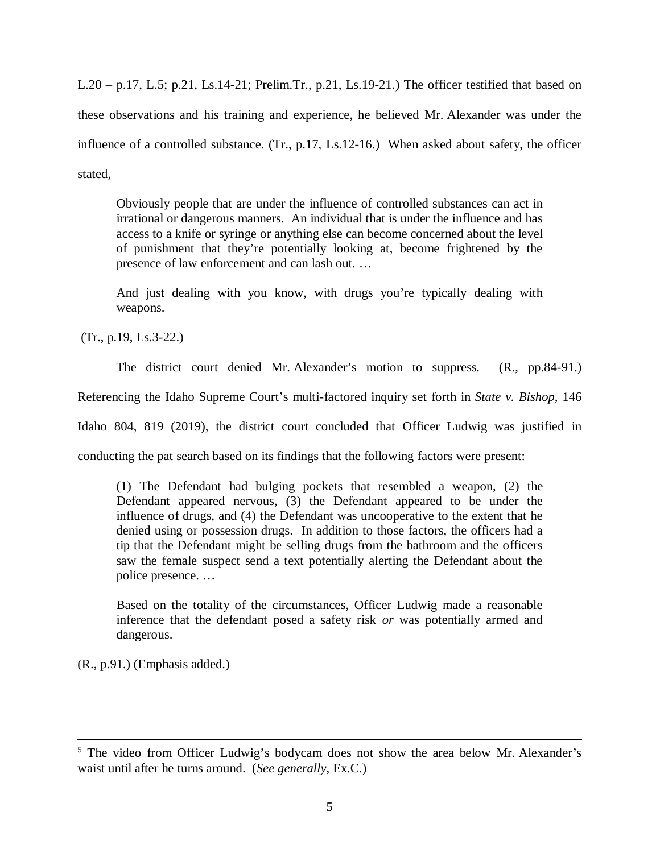L.20 – p.17, L.5; p.21, Ls.14-21; Prelim.Tr., p.21, Ls.19-21.) The officer testified that based on these observations and his training and experience, he believed Mr. Alexander was under the influence of a controlled substance. (Tr., p.17, Ls.12-16.) When asked about safety, the officer stated,

Obviously people that are under the influence of controlled substances can act in irrational or dangerous manners. An individual that is under the influence and has access to a knife or syringe or anything else can become concerned about the level of punishment that they're potentially looking at, become frightened by the presence of law enforcement and can lash out. …

And just dealing with you know, with drugs you're typically dealing with weapons.

(Tr., p.19, Ls.3-22.)

The district court denied Mr. Alexander's motion to suppress. (R., pp.84-91.)

Referencing the Idaho Supreme Court's multi-factored inquiry set forth in *State v. Bishop*, 146

Idaho 804, 819 (2019), the district court concluded that Officer Ludwig was justified in

conducting the pat search based on its findings that the following factors were present:

(1) The Defendant had bulging pockets that resembled a weapon, (2) the Defendant appeared nervous, (3) the Defendant appeared to be under the influence of drugs, and (4) the Defendant was uncooperative to the extent that he denied using or possession drugs. In addition to those factors, the officers had a tip that the Defendant might be selling drugs from the bathroom and the officers saw the female suspect send a text potentially alerting the Defendant about the police presence. …

Based on the totality of the circumstances, Officer Ludwig made a reasonable inference that the defendant posed a safety risk *or* was potentially armed and dangerous.

(R., p.91.) (Emphasis added.)

<sup>&</sup>lt;sup>5</sup> The video from Officer Ludwig's bodycam does not show the area below Mr. Alexander's waist until after he turns around. (*See generally*, Ex.C.)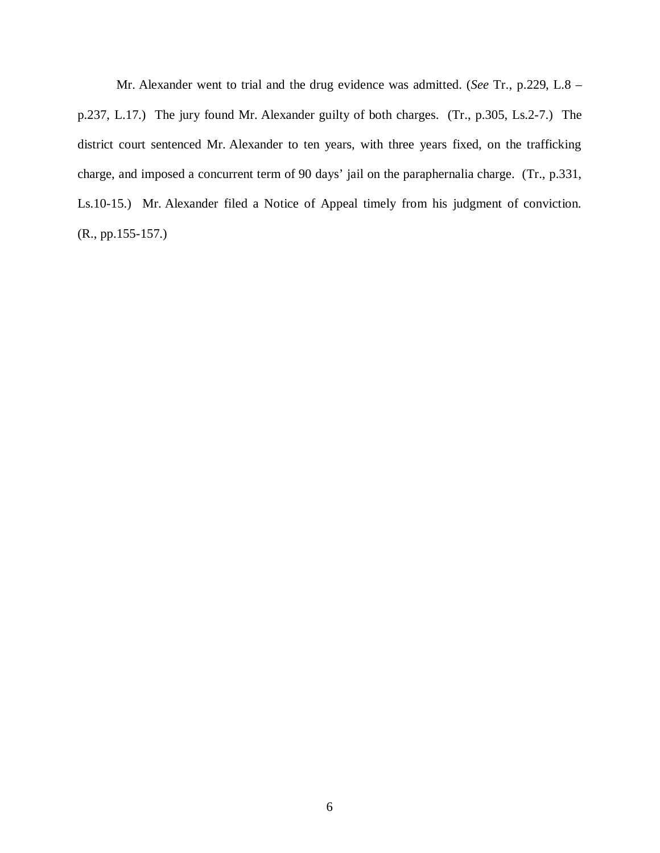Mr. Alexander went to trial and the drug evidence was admitted. (*See* Tr., p.229, L.8 – p.237, L.17.) The jury found Mr. Alexander guilty of both charges. (Tr., p.305, Ls.2-7.) The district court sentenced Mr. Alexander to ten years, with three years fixed, on the trafficking charge, and imposed a concurrent term of 90 days' jail on the paraphernalia charge. (Tr., p.331, Ls.10-15.) Mr. Alexander filed a Notice of Appeal timely from his judgment of conviction. (R., pp.155-157.)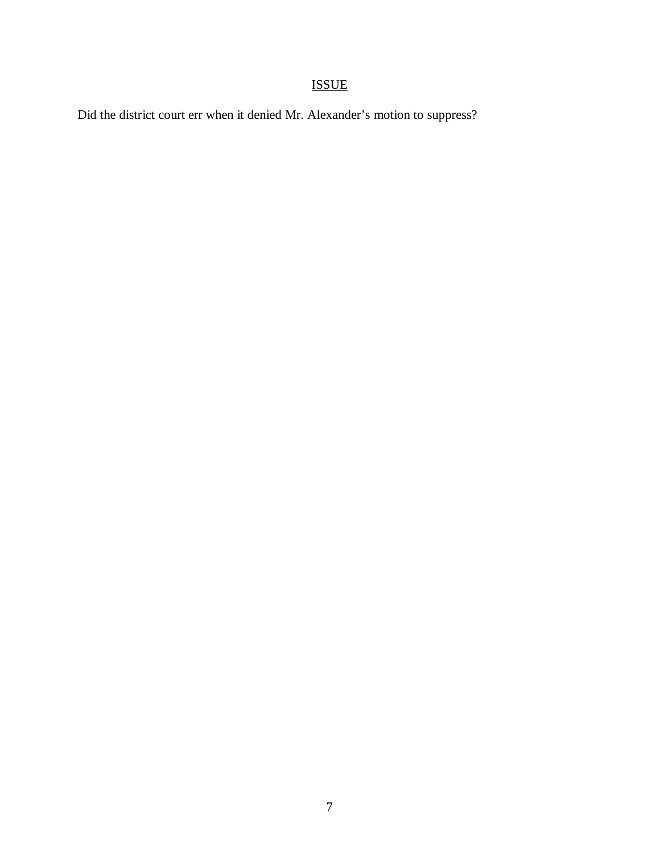# ISSUE

Did the district court err when it denied Mr. Alexander's motion to suppress?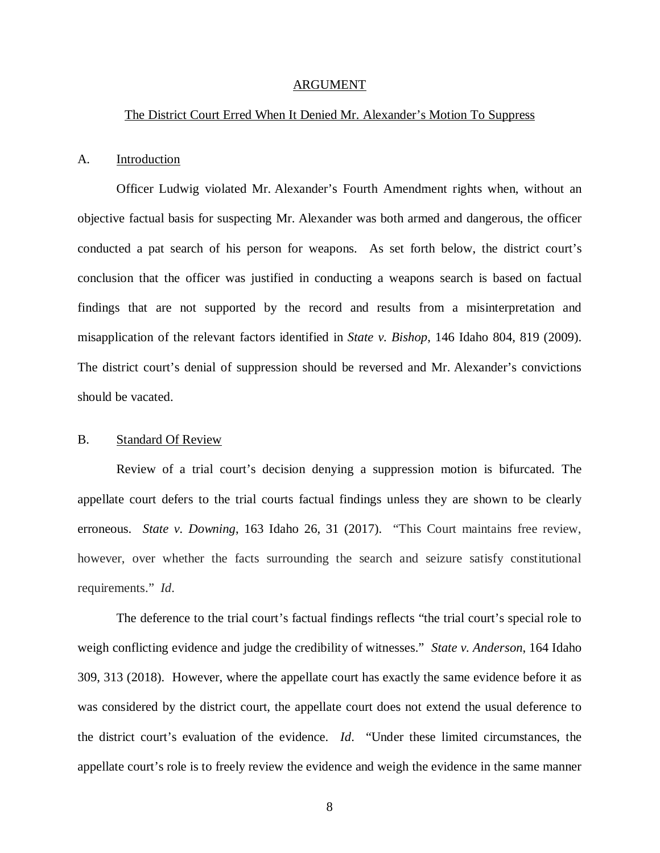#### ARGUMENT

#### The District Court Erred When It Denied Mr. Alexander's Motion To Suppress

#### A. Introduction

Officer Ludwig violated Mr. Alexander's Fourth Amendment rights when, without an objective factual basis for suspecting Mr. Alexander was both armed and dangerous, the officer conducted a pat search of his person for weapons. As set forth below, the district court's conclusion that the officer was justified in conducting a weapons search is based on factual findings that are not supported by the record and results from a misinterpretation and misapplication of the relevant factors identified in *State v. Bishop*, 146 Idaho 804, 819 (2009). The district court's denial of suppression should be reversed and Mr. Alexander's convictions should be vacated.

### B. Standard Of Review

Review of a trial court's decision denying a suppression motion is bifurcated. The appellate court defers to the trial courts factual findings unless they are shown to be clearly erroneous. *State v. Downing*, 163 Idaho 26, 31 (2017). "This Court maintains free review, however, over whether the facts surrounding the search and seizure satisfy constitutional requirements." *Id*.

The deference to the trial court's factual findings reflects "the trial court's special role to weigh conflicting evidence and judge the credibility of witnesses." *State v. Anderson*, 164 Idaho 309, 313 (2018). However, where the appellate court has exactly the same evidence before it as was considered by the district court, the appellate court does not extend the usual deference to the district court's evaluation of the evidence. *Id*. "Under these limited circumstances, the appellate court's role is to freely review the evidence and weigh the evidence in the same manner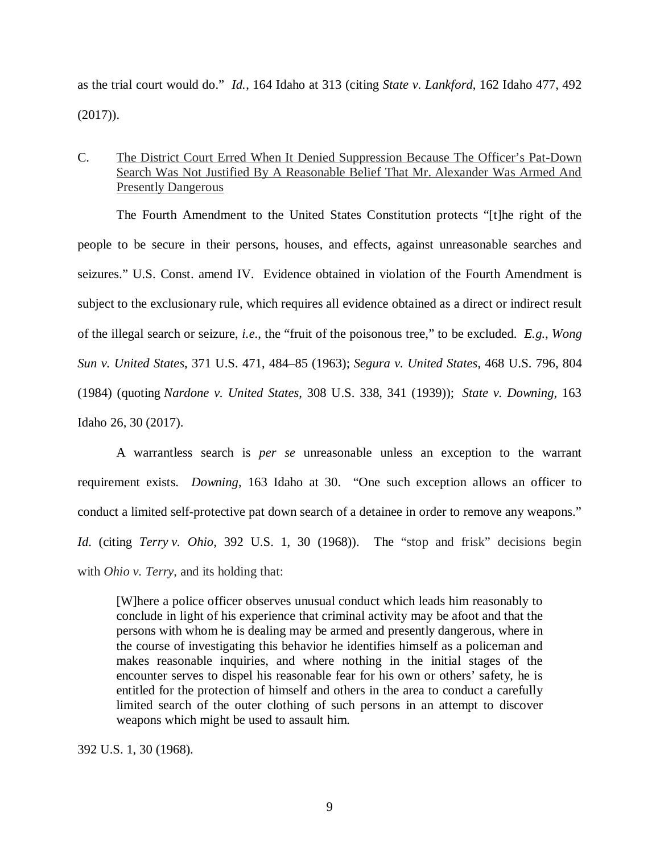as the trial court would do." *Id.*, 164 Idaho at 313 (citing *State v. Lankford*, 162 Idaho 477, 492 (2017)).

# C. The District Court Erred When It Denied Suppression Because The Officer's Pat-Down Search Was Not Justified By A Reasonable Belief That Mr. Alexander Was Armed And Presently Dangerous

The Fourth Amendment to the United States Constitution protects "[t]he right of the people to be secure in their persons, houses, and effects, against unreasonable searches and seizures." [U.S. Const. amend IV](https://1.next.westlaw.com/Link/Document/FullText?findType=L&pubNum=1000583&cite=USCOAMENDIV&originatingDoc=I7ff400809faf11e7a4449fe394270729&refType=LQ&originationContext=document&transitionType=DocumentItem&contextData=(sc.Search)). Evidence obtained in violation of the Fourth Amendment is subject to the exclusionary rule, which requires all evidence obtained as a direct or indirect result of the illegal search or seizure, *i.e*., the "fruit of the poisonous tree," to be excluded. *E.g.*, *[Wong](https://1.next.westlaw.com/Link/Document/FullText?findType=Y&serNum=1963125280&pubNum=0000780&originatingDoc=I7ff400809faf11e7a4449fe394270729&refType=RP&fi=co_pp_sp_780_484&originationContext=document&transitionType=DocumentItem&contextData=(sc.Search)#co_pp_sp_780_484) Sun v. United States*[, 371 U.S. 471, 484–85 \(1963\)](https://1.next.westlaw.com/Link/Document/FullText?findType=Y&serNum=1963125280&pubNum=0000780&originatingDoc=I7ff400809faf11e7a4449fe394270729&refType=RP&fi=co_pp_sp_780_484&originationContext=document&transitionType=DocumentItem&contextData=(sc.Search)#co_pp_sp_780_484); *[Segura v. United States](https://1.next.westlaw.com/Link/Document/FullText?findType=Y&serNum=1984132644&pubNum=0000780&originatingDoc=I7ff400809faf11e7a4449fe394270729&refType=RP&fi=co_pp_sp_780_804&originationContext=document&transitionType=DocumentItem&contextData=(sc.Search)#co_pp_sp_780_804)*, 468 U.S. 796, 804 [\(1984\)](https://1.next.westlaw.com/Link/Document/FullText?findType=Y&serNum=1984132644&pubNum=0000780&originatingDoc=I7ff400809faf11e7a4449fe394270729&refType=RP&fi=co_pp_sp_780_804&originationContext=document&transitionType=DocumentItem&contextData=(sc.Search)#co_pp_sp_780_804) (quoting *Nardone v. United States*[, 308 U.S. 338, 341 \(1939\)](https://1.next.westlaw.com/Link/Document/FullText?findType=Y&serNum=1939126073&pubNum=0000780&originatingDoc=I7ff400809faf11e7a4449fe394270729&refType=RP&fi=co_pp_sp_780_341&originationContext=document&transitionType=DocumentItem&contextData=(sc.Search)#co_pp_sp_780_341)); *State v. Downing*, 163 Idaho 26, 30 (2017).

A warrantless search is *per se* unreasonable unless an exception to the warrant requirement exists. *Downing*, 163 Idaho at 30. "One such exception allows an officer to conduct a limited self-protective pat down search of a detainee in order to remove any weapons." *Id*. (citing *Terry v. Ohio*[, 392 U.S. 1, 30 \(1968\)\)](https://1.next.westlaw.com/Link/Document/FullText?findType=Y&serNum=1968131212&pubNum=0000708&originatingDoc=I7ff400809faf11e7a4449fe394270729&refType=RP&originationContext=document&transitionType=DocumentItem&contextData=(sc.Search)). The "stop and frisk" decisions begin with *Ohio v. Terry*, and its holding that:

[W]here a police officer observes unusual conduct which leads him reasonably to conclude in light of his experience that criminal activity may be afoot and that the persons with whom he is dealing may be armed and presently dangerous, where in the course of investigating this behavior he identifies himself as a policeman and makes reasonable inquiries, and where nothing in the initial stages of the encounter serves to dispel his reasonable fear for his own or others' safety, he is entitled for the protection of himself and others in the area to conduct a carefully limited search of the outer clothing of such persons in an attempt to discover weapons which might be used to assault him.

[392 U.S. 1,](https://1.next.westlaw.com/Link/Document/FullText?findType=Y&serNum=1968131212&pubNum=0000708&originatingDoc=Ibde980ea9c2511d9bc61beebb95be672&refType=RP&originationContext=document&transitionType=DocumentItem&contextData=(sc.DocLink)) 30 (1968).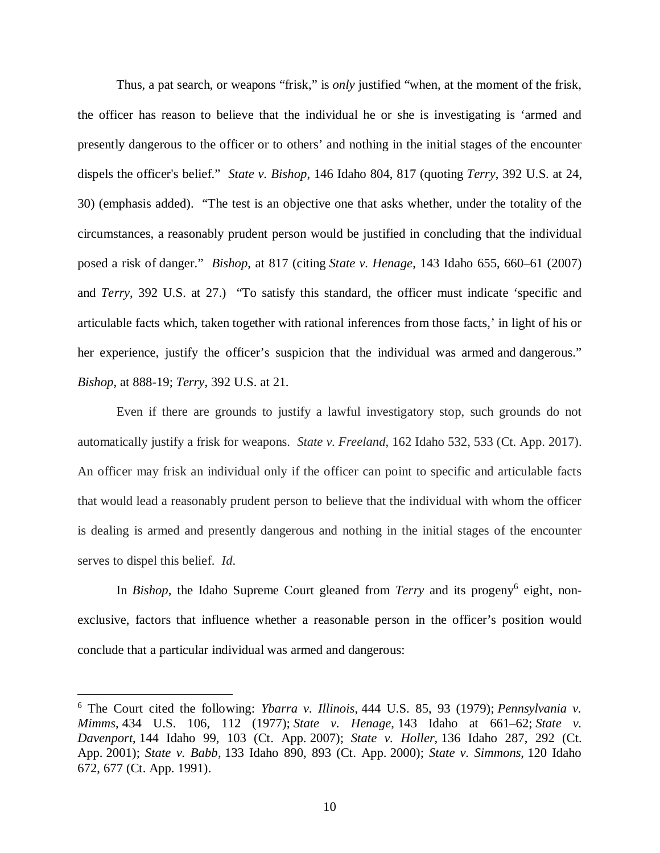Thus, a pat search, or weapons "frisk," is *only* justified "when, at the moment of the frisk, the officer has reason to believe that the individual he or she is investigating is 'armed and presently dangerous to the officer or to others' and nothing in the initial stages of the encounter dispels the officer's belief." *State v. Bishop*, 146 Idaho 804, 817 (quoting *Terry*[, 392 U.S. at 24,](https://1.next.westlaw.com/Link/Document/FullText?findType=Y&serNum=1968131212&pubNum=0000780&originatingDoc=I7ff400809faf11e7a4449fe394270729&refType=RP&fi=co_pp_sp_780_24&originationContext=document&transitionType=DocumentItem&contextData=(sc.Search)#co_pp_sp_780_24) [30\)](https://1.next.westlaw.com/Link/Document/FullText?findType=Y&serNum=1968131212&pubNum=0000780&originatingDoc=I7ff400809faf11e7a4449fe394270729&refType=RP&fi=co_pp_sp_780_24&originationContext=document&transitionType=DocumentItem&contextData=(sc.Search)#co_pp_sp_780_24) (emphasis added). "The test is an objective one that asks whether, under the totality of the circumstances, a reasonably prudent person would be justified in concluding that the individual posed a risk of danger." *Bishop*, [at 817 \(](https://1.next.westlaw.com/Link/Document/FullText?findType=Y&serNum=2017978207&pubNum=0000431&originatingDoc=I7ff400809faf11e7a4449fe394270729&refType=RP&originationContext=document&transitionType=DocumentItem&contextData=(sc.Search))citing *State v. Henage*[, 143 Idaho 655, 660–61 \(2007\)](https://1.next.westlaw.com/Link/Document/FullText?findType=Y&serNum=2011281714&pubNum=0004645&originatingDoc=I7ff400809faf11e7a4449fe394270729&refType=RP&fi=co_pp_sp_4645_21&originationContext=document&transitionType=DocumentItem&contextData=(sc.Search)#co_pp_sp_4645_21) and *Terry*[, 392 U.S. at 27.\)](https://1.next.westlaw.com/Link/Document/FullText?findType=Y&serNum=1968131212&pubNum=0000780&originatingDoc=I7ff400809faf11e7a4449fe394270729&refType=RP&fi=co_pp_sp_780_27&originationContext=document&transitionType=DocumentItem&contextData=(sc.Search)#co_pp_sp_780_27) "To satisfy this standard, the officer must indicate 'specific and articulable facts which, taken together with rational inferences from those facts,' in light of his or her experience, justify the officer's suspicion that the individual was armed and dangerous." *Bishop*, at 888-19; *Terry*[, 392 U.S. at 21.](https://1.next.westlaw.com/Link/Document/FullText?findType=Y&serNum=1968131212&pubNum=0000780&originatingDoc=I7ff400809faf11e7a4449fe394270729&refType=RP&fi=co_pp_sp_780_21&originationContext=document&transitionType=DocumentItem&contextData=(sc.Search)#co_pp_sp_780_21)

Even if there are grounds to justify a lawful investigatory stop, such grounds do not automatically justify a frisk for weapons. *State v. Freeland*, 162 Idaho 532, 533 (Ct. App. 2017). An officer may frisk an individual only if the officer can point to specific and articulable facts that would lead a reasonably prudent person to believe that the individual with whom the officer is dealing is armed and presently dangerous and nothing in the initial stages of the encounter serves to dispel this belief. *Id*.

In *Bishop*, the Idaho Supreme Court gleaned from *Terry* and its progeny<sup>[6](#page-14-0)</sup> eight, nonexclusive, factors that influence whether a reasonable person in the officer's position would conclude that a particular individual was armed and dangerous:

<span id="page-14-0"></span><sup>6</sup> The Court cited the following: *Ybarra v. Illinois*[, 444 U.S. 85, 93](https://1.next.westlaw.com/Link/Document/FullText?findType=Y&serNum=1979135192&pubNum=708&originatingDoc=I56c5f46aeee811ddb77d9846f86fae5c&refType=RP&fi=co_pp_sp_708_343&originationContext=document&transitionType=DocumentItem&contextData=(sc.History*oc.Search)#co_pp_sp_708_343) (1979); *[Pennsylvania v.](https://1.next.westlaw.com/Link/Document/FullText?findType=Y&serNum=1978145388&pubNum=708&originatingDoc=I56c5f46aeee811ddb77d9846f86fae5c&refType=RP&fi=co_pp_sp_708_334&originationContext=document&transitionType=DocumentItem&contextData=(sc.History*oc.Search)#co_pp_sp_708_334) Mimms*, 434 U.S. 106, 112 (1977); *State v. Henage*[, 143 Idaho at 661–62;](https://1.next.westlaw.com/Link/Document/FullText?findType=Y&serNum=2011281714&pubNum=4645&originatingDoc=I56c5f46aeee811ddb77d9846f86fae5c&refType=RP&fi=co_pp_sp_4645_22&originationContext=document&transitionType=DocumentItem&contextData=(sc.History*oc.Search)#co_pp_sp_4645_22) *State v. Davenport*, 144 Idaho 99, 103 (Ct. App. 2007); *State v. Holler*[, 136 Idaho 287, 2](https://1.next.westlaw.com/Link/Document/FullText?findType=Y&serNum=2001635468&pubNum=4645&originatingDoc=I56c5f46aeee811ddb77d9846f86fae5c&refType=RP&fi=co_pp_sp_4645_684&originationContext=document&transitionType=DocumentItem&contextData=(sc.History*oc.Search)#co_pp_sp_4645_684)[92 \(Ct.](https://1.next.westlaw.com/Link/Document/FullText?findType=Y&serNum=2011605266&pubNum=4645&originatingDoc=I56c5f46aeee811ddb77d9846f86fae5c&refType=RP&fi=co_pp_sp_4645_1201&originationContext=document&transitionType=DocumentItem&contextData=(sc.History*oc.Search)#co_pp_sp_4645_1201) App. 2001); *State v. Babb*[, 133 Idaho 890, 893 \(Ct. App. 2000\)](https://1.next.westlaw.com/Link/Document/FullText?findType=Y&serNum=2000054273&pubNum=661&originatingDoc=I56c5f46aeee811ddb77d9846f86fae5c&refType=RP&fi=co_pp_sp_661_636&originationContext=document&transitionType=DocumentItem&contextData=(sc.History*oc.Search)#co_pp_sp_661_636); *[State v. Simmons](https://1.next.westlaw.com/Link/Document/FullText?findType=Y&serNum=1991165388&pubNum=661&originatingDoc=I56c5f46aeee811ddb77d9846f86fae5c&refType=RP&fi=co_pp_sp_661_792&originationContext=document&transitionType=DocumentItem&contextData=(sc.History*oc.Search)#co_pp_sp_661_792)*, 120 Idaho 672, 677 (Ct. App. 1991).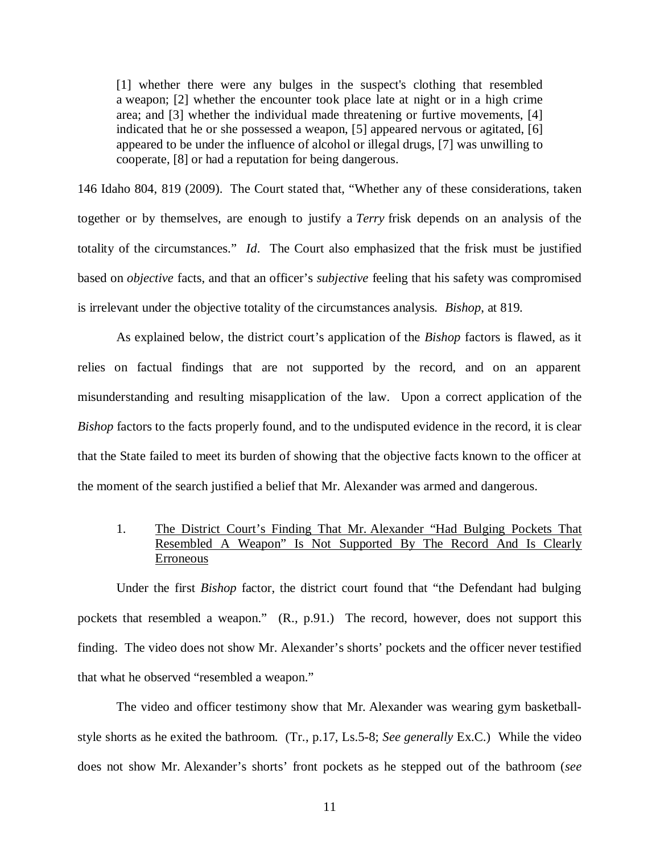[1] whether there were any bulges in the suspect's clothing that resembled a weapon; [2] whether the encounter took place late at night or in a high crime area; and [3] whether the individual made threatening or furtive movements, [4] indicated that he or she possessed a weapon, [5] appeared nervous or agitated, [6] appeared to be under the influence of alcohol or illegal drugs, [7] was unwilling to cooperate, [8] or had a reputation for being dangerous.

146 [Idaho 804, 819 \(2009\). The Court stated that, "Whether any of these considerations, taken](https://1.next.westlaw.com/Link/Document/FullText?findType=Y&serNum=2017978207&pubNum=0004645&originatingDoc=I7ff400809faf11e7a4449fe394270729&refType=RP&fi=co_pp_sp_4645_1218&originationContext=document&transitionType=DocumentItem&contextData=(sc.Search)#co_pp_sp_4645_1218) [together or by themselves, are enough to justify a](https://1.next.westlaw.com/Link/Document/FullText?findType=Y&serNum=2017978207&pubNum=0004645&originatingDoc=I7ff400809faf11e7a4449fe394270729&refType=RP&fi=co_pp_sp_4645_1218&originationContext=document&transitionType=DocumentItem&contextData=(sc.Search)#co_pp_sp_4645_1218) *[Terry](https://1.next.westlaw.com/Link/Document/FullText?findType=Y&serNum=1968131212&originatingDoc=I56c5f46aeee811ddb77d9846f86fae5c&refType=RP&originationContext=document&transitionType=DocumentItem&contextData=(sc.DocLink))* frisk depends on an analysis of the [totality of the circumstances."](https://1.next.westlaw.com/Link/Document/FullText?findType=Y&serNum=2017978207&pubNum=0004645&originatingDoc=I7ff400809faf11e7a4449fe394270729&refType=RP&fi=co_pp_sp_4645_1218&originationContext=document&transitionType=DocumentItem&contextData=(sc.Search)#co_pp_sp_4645_1218) *Id*. The Court also emphasized that the frisk must be justified based on *objective* facts, and that an officer's *subjective* feeling that his safety was compromised is irrelevant under the objective totality of the circumstances analysis. *Bishop*, at 819.

As explained below, the district court's application of the *Bishop* factors is flawed, as it relies on factual findings that are not supported by the record, and on an apparent misunderstanding and resulting misapplication of the law. Upon a correct application of the *Bishop* factors to the facts properly found, and to the undisputed evidence in the record, it is clear that the State failed to meet its burden of showing that the objective facts known to the officer at the moment of the search justified a belief that Mr. Alexander was armed and dangerous.

# 1. The District Court's Finding That Mr. Alexander "Had Bulging Pockets That Resembled A Weapon" Is Not Supported By The Record And Is Clearly Erroneous

Under the first *Bishop* factor, the district court found that "the Defendant had bulging pockets that resembled a weapon." (R., p.91.) The record, however, does not support this finding. The video does not show Mr. Alexander's shorts' pockets and the officer never testified that what he observed "resembled a weapon."

The video and officer testimony show that Mr. Alexander was wearing gym basketballstyle shorts as he exited the bathroom. (Tr., p.17, Ls.5-8; *See generally* Ex.C.) While the video does not show Mr. Alexander's shorts' front pockets as he stepped out of the bathroom (*see*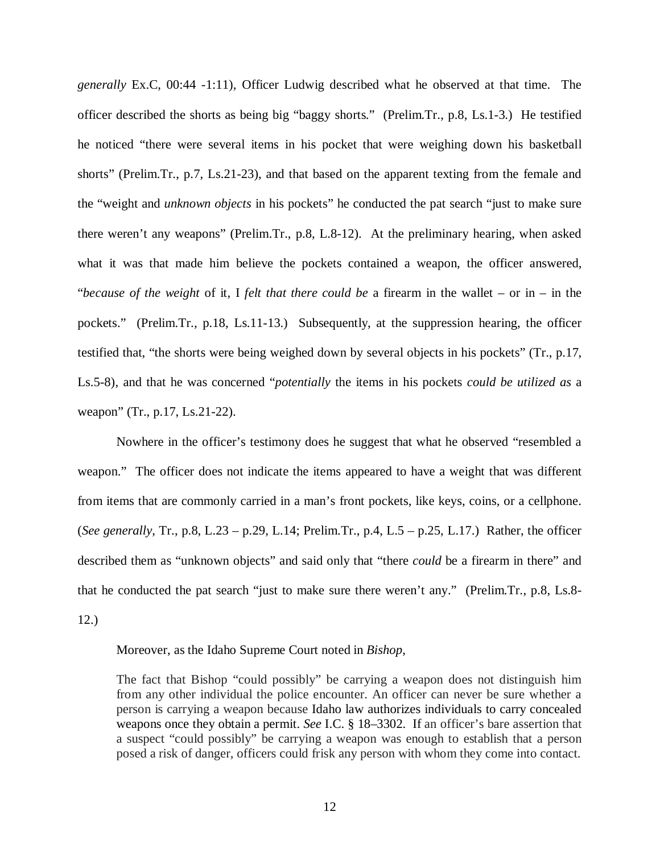*generally* Ex.C, 00:44 -1:11), Officer Ludwig described what he observed at that time. The officer described the shorts as being big "baggy shorts." (Prelim.Tr., p.8, Ls.1-3.) He testified he noticed "there were several items in his pocket that were weighing down his basketball shorts" (Prelim.Tr., p.7, Ls.21-23), and that based on the apparent texting from the female and the "weight and *unknown objects* in his pockets" he conducted the pat search "just to make sure there weren't any weapons" (Prelim.Tr., p.8, L.8-12). At the preliminary hearing, when asked what it was that made him believe the pockets contained a weapon, the officer answered, "*because of the weight* of it, I *felt that there could be* a firearm in the wallet – or in – in the pockets." (Prelim.Tr., p.18, Ls.11-13.) Subsequently, at the suppression hearing, the officer testified that, "the shorts were being weighed down by several objects in his pockets" (Tr., p.17, Ls.5-8), and that he was concerned "*potentially* the items in his pockets *could be utilized as* a weapon" (Tr., p.17, Ls.21-22).

Nowhere in the officer's testimony does he suggest that what he observed "resembled a weapon." The officer does not indicate the items appeared to have a weight that was different from items that are commonly carried in a man's front pockets, like keys, coins, or a cellphone. (*See generally*, Tr., p.8, L.23 – p.29, L.14; Prelim.Tr., p.4, L.5 – p.25, L.17.) Rather, the officer described them as "unknown objects" and said only that "there *could* be a firearm in there" and that he conducted the pat search "just to make sure there weren't any." (Prelim.Tr., p.8, Ls.8- 12.)

Moreover, as the Idaho Supreme Court noted in *Bishop*,

The fact that Bishop "could possibly" be carrying a weapon does not distinguish him from any other individual the police encounter. An officer can never be sure whether a person is carrying a weapon because Idaho law authorizes individuals to carry concealed weapons once they obtain a permit. *See* [I.C. § 18–3302.](https://1.next.westlaw.com/Link/Document/FullText?findType=L&pubNum=1000007&cite=IDSTS18-3302&originatingDoc=I56c5f46aeee811ddb77d9846f86fae5c&refType=LQ&originationContext=document&transitionType=DocumentItem&contextData=(sc.DocLink)) If an officer's bare assertion that a suspect "could possibly" be carrying a weapon was enough to establish that a person posed a risk of danger, officers could frisk any person with whom they come into contact.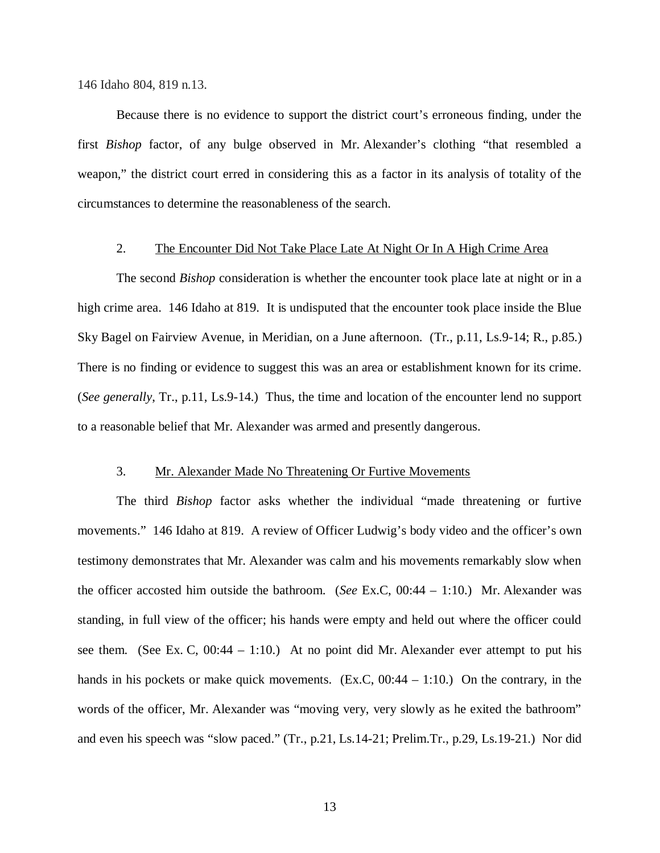146 Idaho 804, 819 n.13.

Because there is no evidence to support the district court's erroneous finding, under the first *Bishop* factor, of any bulge observed in Mr. Alexander's clothing "that resembled a weapon," the district court erred in considering this as a factor in its analysis of totality of the circumstances to determine the reasonableness of the search.

#### 2. The Encounter Did Not Take Place Late At Night Or In A High Crime Area

The second *Bishop* consideration is whether the encounter took place late at night or in a high crime area. 146 Idaho at 819. It is undisputed that the encounter took place inside the Blue Sky Bagel on Fairview Avenue, in Meridian, on a June afternoon. (Tr., p.11, Ls.9-14; R., p.85.) There is no finding or evidence to suggest this was an area or establishment known for its crime. (*See generally*, Tr., p.11, Ls.9-14.) Thus, the time and location of the encounter lend no support to a reasonable belief that Mr. Alexander was armed and presently dangerous.

#### 3. Mr. Alexander Made No Threatening Or Furtive Movements

The third *Bishop* factor asks whether the individual "made threatening or furtive movements." 146 Idaho at 819. A review of Officer Ludwig's body video and the officer's own testimony demonstrates that Mr. Alexander was calm and his movements remarkably slow when the officer accosted him outside the bathroom. (*See* Ex.C, 00:44 – 1:10.) Mr. Alexander was standing, in full view of the officer; his hands were empty and held out where the officer could see them. (See Ex. C,  $00:44 - 1:10$ .) At no point did Mr. Alexander ever attempt to put his hands in his pockets or make quick movements. (Ex.C, 00:44 – 1:10.) On the contrary, in the words of the officer, Mr. Alexander was "moving very, very slowly as he exited the bathroom" and even his speech was "slow paced." (Tr., p.21, Ls.14-21; Prelim.Tr., p.29, Ls.19-21.) Nor did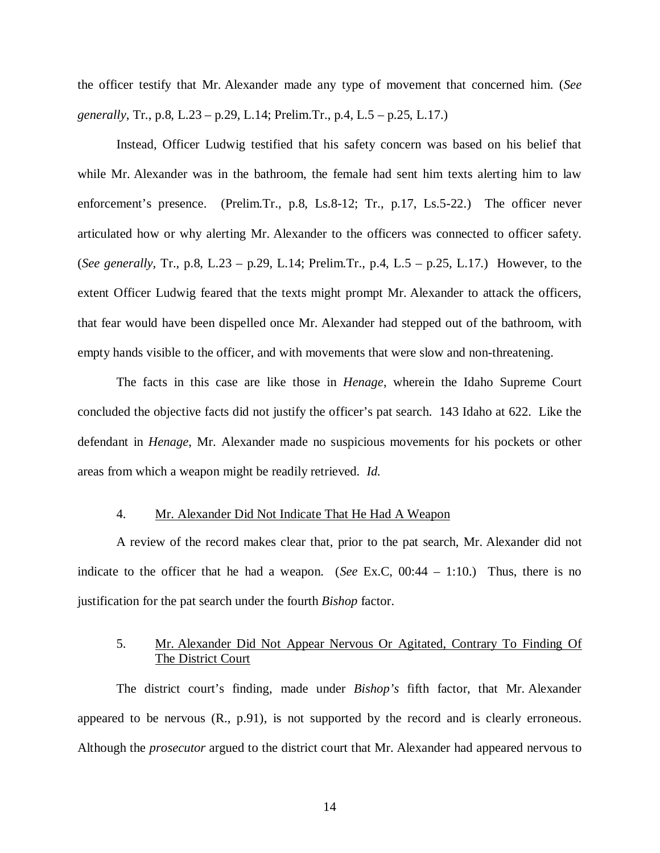the officer testify that Mr. Alexander made any type of movement that concerned him. (*See generally*, Tr., p.8, L.23 – p.29, L.14; Prelim.Tr., p.4, L.5 – p.25, L.17.)

Instead, Officer Ludwig testified that his safety concern was based on his belief that while Mr. Alexander was in the bathroom, the female had sent him texts alerting him to law enforcement's presence. (Prelim.Tr., p.8, Ls.8-12; Tr., p.17, Ls.5-22.) The officer never articulated how or why alerting Mr. Alexander to the officers was connected to officer safety. (*See generally*, Tr., p.8, L.23 – p.29, L.14; Prelim.Tr., p.4, L.5 – p.25, L.17.) However, to the extent Officer Ludwig feared that the texts might prompt Mr. Alexander to attack the officers, that fear would have been dispelled once Mr. Alexander had stepped out of the bathroom, with empty hands visible to the officer, and with movements that were slow and non-threatening.

The facts in this case are like those in *Henage*, wherein the Idaho Supreme Court concluded the objective facts did not justify the officer's pat search. 143 Idaho at 622. Like the defendant in *Henage*, Mr. Alexander made no suspicious movements for his pockets or other areas from which a weapon might be readily retrieved. *Id.*

#### 4. Mr. Alexander Did Not Indicate That He Had A Weapon

A review of the record makes clear that, prior to the pat search, Mr. Alexander did not indicate to the officer that he had a weapon. (*See* Ex.C, 00:44 – 1:10.) Thus, there is no justification for the pat search under the fourth *Bishop* factor.

# 5. Mr. Alexander Did Not Appear Nervous Or Agitated, Contrary To Finding Of The District Court

The district court's finding, made under *Bishop's* fifth factor, that Mr. Alexander appeared to be nervous (R., p.91), is not supported by the record and is clearly erroneous. Although the *prosecutor* argued to the district court that Mr. Alexander had appeared nervous to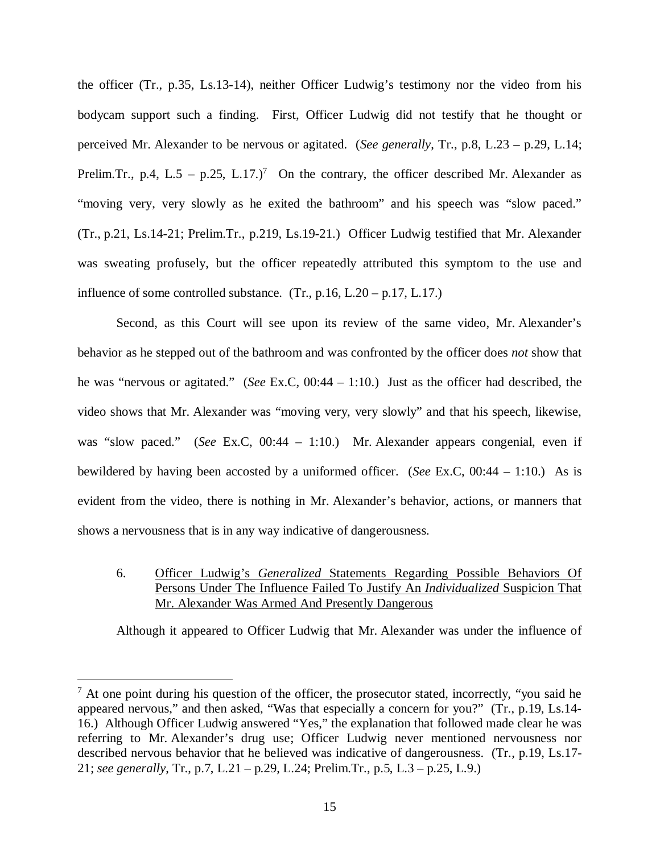the officer (Tr., p.35, Ls.13-14), neither Officer Ludwig's testimony nor the video from his bodycam support such a finding. First, Officer Ludwig did not testify that he thought or perceived Mr. Alexander to be nervous or agitated. (*See generally*, Tr., p.8, L.23 – p.29, L.14; Prelim.Tr., p.4, L.5 – p.25, L.1[7](#page-19-0).)<sup>7</sup> On the contrary, the officer described Mr. Alexander as "moving very, very slowly as he exited the bathroom" and his speech was "slow paced." (Tr., p.21, Ls.14-21; Prelim.Tr., p.219, Ls.19-21.) Officer Ludwig testified that Mr. Alexander was sweating profusely, but the officer repeatedly attributed this symptom to the use and influence of some controlled substance.  $(Tr, p.16, L.20 - p.17, L.17)$ 

Second, as this Court will see upon its review of the same video, Mr. Alexander's behavior as he stepped out of the bathroom and was confronted by the officer does *not* show that he was "nervous or agitated." (*See* Ex.C, 00:44 – 1:10.) Just as the officer had described, the video shows that Mr. Alexander was "moving very, very slowly" and that his speech, likewise, was "slow paced." (*See* Ex.C, 00:44 – 1:10.) Mr. Alexander appears congenial, even if bewildered by having been accosted by a uniformed officer. (*See* Ex.C, 00:44 – 1:10.) As is evident from the video, there is nothing in Mr. Alexander's behavior, actions, or manners that shows a nervousness that is in any way indicative of dangerousness.

6. Officer Ludwig's *Generalized* Statements Regarding Possible Behaviors Of Persons Under The Influence Failed To Justify An *Individualized* Suspicion That Mr. Alexander Was Armed And Presently Dangerous

Although it appeared to Officer Ludwig that Mr. Alexander was under the influence of

<span id="page-19-0"></span> $<sup>7</sup>$  At one point during his question of the officer, the prosecutor stated, incorrectly, "you said he</sup> appeared nervous," and then asked, "Was that especially a concern for you?" (Tr., p.19, Ls.14- 16.) Although Officer Ludwig answered "Yes," the explanation that followed made clear he was referring to Mr. Alexander's drug use; Officer Ludwig never mentioned nervousness nor described nervous behavior that he believed was indicative of dangerousness. (Tr., p.19, Ls.17- 21; *see generally*, Tr., p.7, L.21 – p.29, L.24; Prelim.Tr., p.5, L.3 – p.25, L.9.)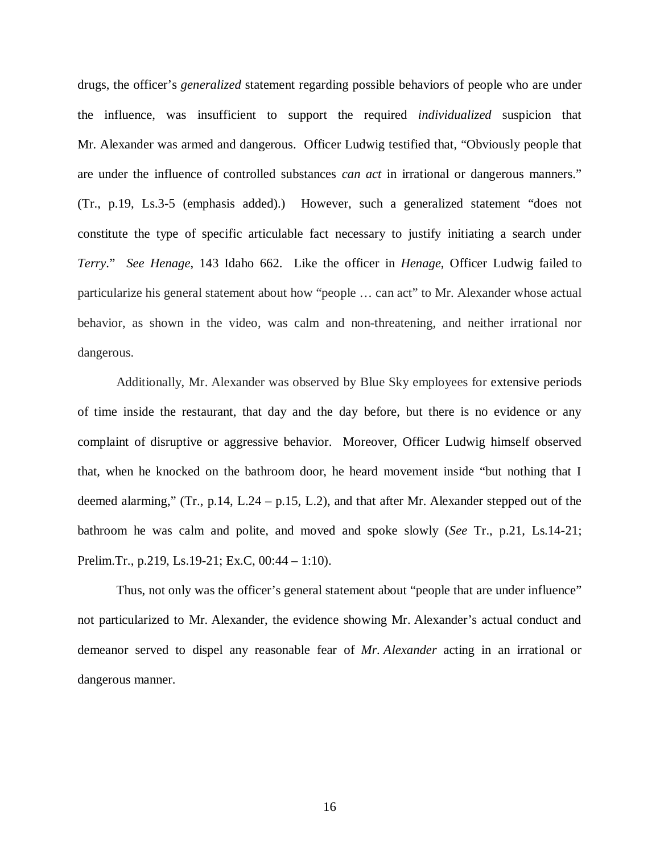drugs, the officer's *generalized* statement regarding possible behaviors of people who are under the influence, was insufficient to support the required *individualized* suspicion that Mr*.* Alexander was armed and dangerous. Officer Ludwig testified that, "Obviously people that are under the influence of controlled substances *can act* in irrational or dangerous manners." (Tr., p.19, Ls.3-5 (emphasis added).) However, such a generalized statement "does not constitute the type of specific articulable fact necessary to justify initiating a search under *Terry*." *See Henage*, 143 Idaho 662. Like the officer in *Henage*, Officer Ludwig failed to particularize his general statement about how "people … can act" to Mr. Alexander whose actual behavior, as shown in the video, was calm and non-threatening, and neither irrational nor dangerous.

Additionally, Mr. Alexander was observed by Blue Sky employees for extensive periods of time inside the restaurant, that day and the day before, but there is no evidence or any complaint of disruptive or aggressive behavior. Moreover, Officer Ludwig himself observed that, when he knocked on the bathroom door, he heard movement inside "but nothing that I deemed alarming," (Tr., p.14, L.24 – p.15, L.2), and that after Mr. Alexander stepped out of the bathroom he was calm and polite, and moved and spoke slowly (*See* Tr., p.21, Ls.14-21; Prelim.Tr., p.219, Ls.19-21; Ex.C, 00:44 – 1:10).

Thus, not only was the officer's general statement about "people that are under influence" not particularized to Mr. Alexander, the evidence showing Mr. Alexander's actual conduct and demeanor served to dispel any reasonable fear of *Mr. Alexander* acting in an irrational or dangerous manner.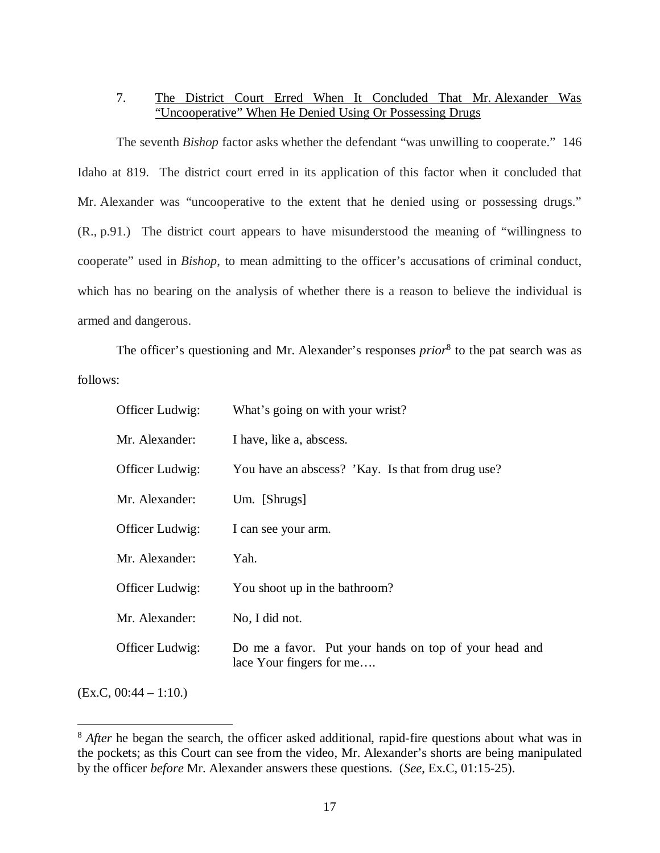# 7. The District Court Erred When It Concluded That Mr. Alexander Was "Uncooperative" When He Denied Using Or Possessing Drugs

The seventh *Bishop* factor asks whether the defendant "was unwilling to cooperate." 146 Idaho at 819. The district court erred in its application of this factor when it concluded that Mr. Alexander was "uncooperative to the extent that he denied using or possessing drugs." (R., p.91.) The district court appears to have misunderstood the meaning of "willingness to cooperate" used in *Bishop*, to mean admitting to the officer's accusations of criminal conduct, which has no bearing on the analysis of whether there is a reason to believe the individual is armed and dangerous.

The officer's questioning and Mr. Alexander's responses *prior*<sup>[8](#page-21-0)</sup> to the pat search was as follows:

| Officer Ludwig: | What's going on with your wrist?                                                  |
|-----------------|-----------------------------------------------------------------------------------|
| Mr. Alexander:  | I have, like a, abscess.                                                          |
| Officer Ludwig: | You have an abscess? 'Kay. Is that from drug use?                                 |
| Mr. Alexander:  | $Um.$ [Shrugs]                                                                    |
| Officer Ludwig: | I can see your arm.                                                               |
| Mr. Alexander:  | Yah.                                                                              |
| Officer Ludwig: | You shoot up in the bathroom?                                                     |
| Mr. Alexander:  | No, I did not.                                                                    |
| Officer Ludwig: | Do me a favor. Put your hands on top of your head and<br>lace Your fingers for me |
|                 |                                                                                   |

 $(EX.C, 00:44 - 1:10.)$ 

<span id="page-21-0"></span><sup>&</sup>lt;sup>8</sup> *After* he began the search, the officer asked additional, rapid-fire questions about what was in the pockets; as this Court can see from the video, Mr. Alexander's shorts are being manipulated by the officer *before* Mr. Alexander answers these questions. (*See*, Ex.C, 01:15-25).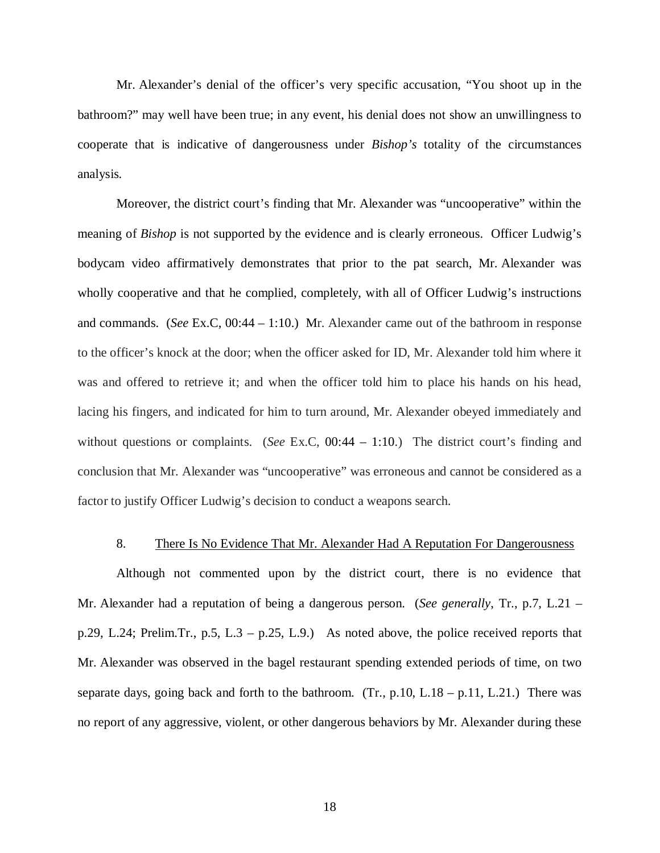Mr. Alexander's denial of the officer's very specific accusation, "You shoot up in the bathroom?" may well have been true; in any event, his denial does not show an unwillingness to cooperate that is indicative of dangerousness under *Bishop's* totality of the circumstances analysis.

Moreover, the district court's finding that Mr. Alexander was "uncooperative" within the meaning of *Bishop* is not supported by the evidence and is clearly erroneous. Officer Ludwig's bodycam video affirmatively demonstrates that prior to the pat search, Mr. Alexander was wholly cooperative and that he complied, completely, with all of Officer Ludwig's instructions and commands. (*See* Ex.C, 00:44 – 1:10.) Mr. Alexander came out of the bathroom in response to the officer's knock at the door; when the officer asked for ID, Mr. Alexander told him where it was and offered to retrieve it; and when the officer told him to place his hands on his head, lacing his fingers, and indicated for him to turn around, Mr. Alexander obeyed immediately and without questions or complaints. (*See* Ex.C, 00:44 – 1:10.) The district court's finding and conclusion that Mr. Alexander was "uncooperative" was erroneous and cannot be considered as a factor to justify Officer Ludwig's decision to conduct a weapons search.

#### 8. There Is No Evidence That Mr. Alexander Had A Reputation For Dangerousness

Although not commented upon by the district court, there is no evidence that Mr. Alexander had a reputation of being a dangerous person. (*See generally*, Tr., p.7, L.21 – p.29, L.24; Prelim.Tr., p.5, L.3 – p.25, L.9.) As noted above, the police received reports that Mr. Alexander was observed in the bagel restaurant spending extended periods of time, on two separate days, going back and forth to the bathroom. (Tr.,  $p.10$ , L.18 –  $p.11$ , L.21.) There was no report of any aggressive, violent, or other dangerous behaviors by Mr. Alexander during these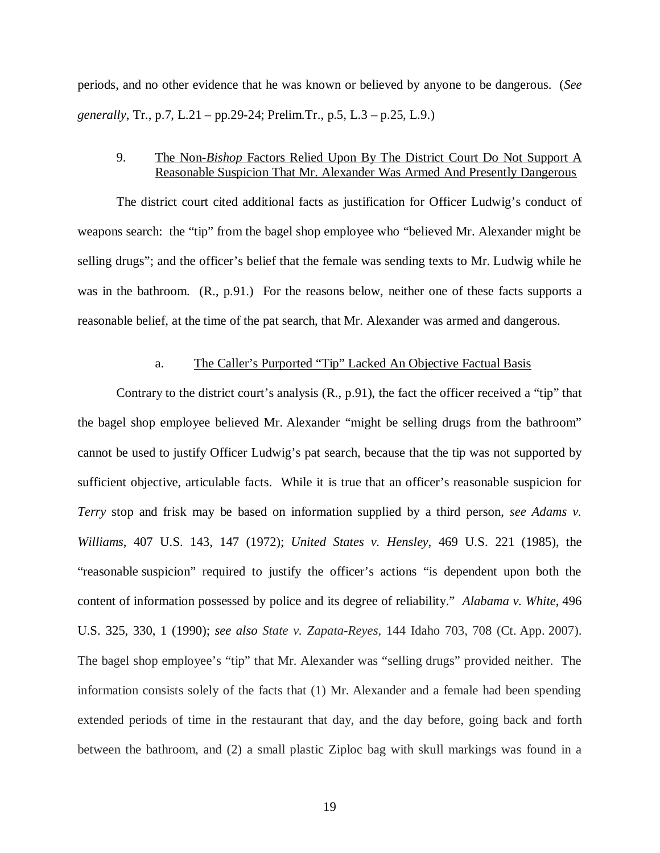periods, and no other evidence that he was known or believed by anyone to be dangerous. (*See generally*, Tr., p.7, L.21 – pp.29-24; Prelim.Tr., p.5, L.3 – p.25, L.9.)

### 9. The Non-*Bishop* Factors Relied Upon By The District Court Do Not Support A Reasonable Suspicion That Mr. Alexander Was Armed And Presently Dangerous

The district court cited additional facts as justification for Officer Ludwig's conduct of weapons search: the "tip" from the bagel shop employee who "believed Mr. Alexander might be selling drugs"; and the officer's belief that the female was sending texts to Mr. Ludwig while he was in the bathroom. (R., p.91.) For the reasons below, neither one of these facts supports a reasonable belief, at the time of the pat search, that Mr. Alexander was armed and dangerous.

### a. The Caller's Purported "Tip" Lacked An Objective Factual Basis

Contrary to the district court's analysis (R., p.91), the fact the officer received a "tip" that the bagel shop employee believed Mr. Alexander "might be selling drugs from the bathroom" cannot be used to justify Officer Ludwig's pat search, because that the tip was not supported by sufficient objective, articulable facts. While it is true that an officer's reasonable suspicion for *Terry* stop and frisk may be based on information supplied by a third person, *see Adams v. Williams*, 407 U.S. 143, 147 (1972); *United States v. Hensley*, 469 U.S. 221 (1985), the "reasonable suspicion" required to justify the officer's actions "is dependent upon both the content of information possessed by police and its degree of reliability." *[Alabama v. White](https://1.next.westlaw.com/Link/Document/FullText?findType=Y&serNum=1990090453&pubNum=0000708&originatingDoc=I6febf3d6ca0811e39488c8f438320c70&refType=RP&originationContext=document&transitionType=DocumentItem&contextData=(sc.Search))*, 496 [U.S. 325, 330, 1 \(1990\)](https://1.next.westlaw.com/Link/Document/FullText?findType=Y&serNum=1990090453&pubNum=0000708&originatingDoc=I6febf3d6ca0811e39488c8f438320c70&refType=RP&originationContext=document&transitionType=DocumentItem&contextData=(sc.Search)); *see also State v. Zapata-Reyes*, 144 Idaho 703, 708 (Ct. App. 2007). The bagel shop employee's "tip" that Mr. Alexander was "selling drugs" provided neither. The information consists solely of the facts that (1) Mr. Alexander and a female had been spending extended periods of time in the restaurant that day, and the day before, going back and forth between the bathroom, and (2) a small plastic Ziploc bag with skull markings was found in a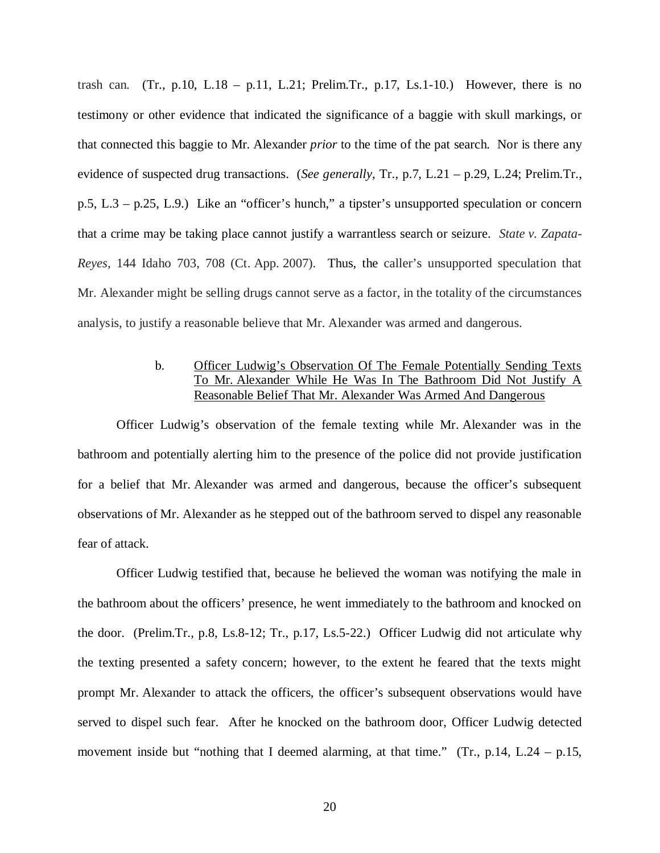trash can. (Tr., p.10, L.18 – p.11, L.21; Prelim.Tr., p.17, Ls.1-10.) However, there is no testimony or other evidence that indicated the significance of a baggie with skull markings, or that connected this baggie to Mr. Alexander *prior* to the time of the pat search. Nor is there any evidence of suspected drug transactions. (*See generally*, Tr., p.7, L.21 – p.29, L.24; Prelim.Tr., p.5, L.3 – p.25, L.9.) Like an "officer's hunch," a tipster's unsupported speculation or concern that a crime may be taking place cannot justify a warrantless search or seizure. *State v. Zapata-Reyes*, 144 Idaho 703, 708 (Ct. App. 2007). Thus, the caller's unsupported speculation that Mr. Alexander might be selling drugs cannot serve as a factor, in the totality of the circumstances analysis, to justify a reasonable believe that Mr. Alexander was armed and dangerous.

# b. Officer Ludwig's Observation Of The Female Potentially Sending Texts To Mr. Alexander While He Was In The Bathroom Did Not Justify A Reasonable Belief That Mr. Alexander Was Armed And Dangerous

Officer Ludwig's observation of the female texting while Mr. Alexander was in the bathroom and potentially alerting him to the presence of the police did not provide justification for a belief that Mr. Alexander was armed and dangerous, because the officer's subsequent observations of Mr. Alexander as he stepped out of the bathroom served to dispel any reasonable fear of attack.

Officer Ludwig testified that, because he believed the woman was notifying the male in the bathroom about the officers' presence, he went immediately to the bathroom and knocked on the door. (Prelim.Tr., p.8, Ls.8-12; Tr., p.17, Ls.5-22.) Officer Ludwig did not articulate why the texting presented a safety concern; however, to the extent he feared that the texts might prompt Mr. Alexander to attack the officers, the officer's subsequent observations would have served to dispel such fear. After he knocked on the bathroom door, Officer Ludwig detected movement inside but "nothing that I deemed alarming, at that time." (Tr., p.14, L.24 – p.15,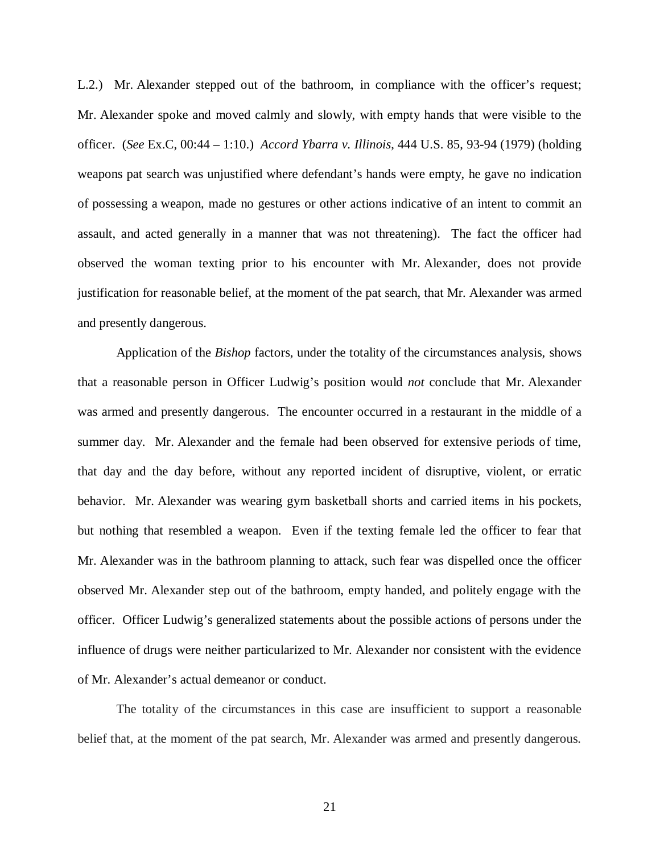L.2.) Mr. Alexander stepped out of the bathroom, in compliance with the officer's request; Mr. Alexander spoke and moved calmly and slowly, with empty hands that were visible to the officer. (*See* Ex.C, 00:44 – 1:10.) *Accord Ybarra v. Illinois*, 444 U.S. 85, 93-94 (1979) (holding weapons pat search was unjustified where defendant's hands were empty, he gave no indication of possessing a weapon, made no gestures or other actions indicative of an intent to commit an assault, and acted generally in a manner that was not threatening). The fact the officer had observed the woman texting prior to his encounter with Mr. Alexander, does not provide justification for reasonable belief, at the moment of the pat search, that Mr. Alexander was armed and presently dangerous.

Application of the *Bishop* factors, under the totality of the circumstances analysis, shows that a reasonable person in Officer Ludwig's position would *not* conclude that Mr. Alexander was armed and presently dangerous. The encounter occurred in a restaurant in the middle of a summer day. Mr. Alexander and the female had been observed for extensive periods of time, that day and the day before, without any reported incident of disruptive, violent, or erratic behavior. Mr. Alexander was wearing gym basketball shorts and carried items in his pockets, but nothing that resembled a weapon. Even if the texting female led the officer to fear that Mr. Alexander was in the bathroom planning to attack, such fear was dispelled once the officer observed Mr. Alexander step out of the bathroom, empty handed, and politely engage with the officer. Officer Ludwig's generalized statements about the possible actions of persons under the influence of drugs were neither particularized to Mr. Alexander nor consistent with the evidence of Mr. Alexander's actual demeanor or conduct.

The totality of the circumstances in this case are insufficient to support a reasonable belief that, at the moment of the pat search, Mr. Alexander was armed and presently dangerous.